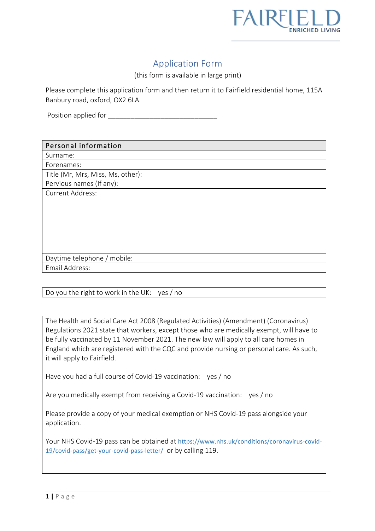

# Application Form

(this form is available in large print)

Please complete this application form and then return it to Fairfield residential home, 115A Banbury road, oxford, OX2 6LA.

Position applied for **Example 1** 

#### Personal information

Surname:

Forenames: Title (Mr, Mrs, Miss, Ms, other):

Pervious names (If any):

Current Address:

| Daytime telephone / mobile: |  |
|-----------------------------|--|
|                             |  |

Email Address:

Do you the right to work in the UK: yes / no

The Health and Social Care Act 2008 (Regulated Activities) (Amendment) (Coronavirus) Regulations 2021 state that workers, except those who are medically exempt, will have to be fully vaccinated by 11 November 2021. The new law will apply to all care homes in England which are registered with the CQC and provide nursing or personal care. As such, it will apply to Fairfield.

Have you had a full course of Covid-19 vaccination: yes / no

Are you medically exempt from receiving a Covid-19 vaccination: yes / no

Please provide a copy of your medical exemption or NHS Covid-19 pass alongside your application.

Your NHS Covid-19 pass can be obtained at https://www.nhs.uk/conditions/coronavirus-covid-19/covid-pass/get-your-covid-pass-letter/ or by calling 119.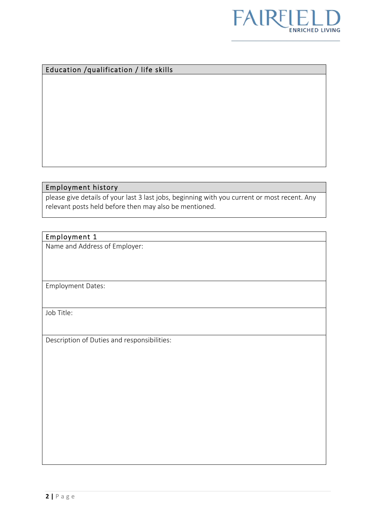

### Education /qualification / life skills

#### Employment history

please give details of your last 3 last jobs, beginning with you current or most recent. Any relevant posts held before then may also be mentioned.

### Employment 1

Name and Address of Employer:

Employment Dates:

Job Title:

Description of Duties and responsibilities: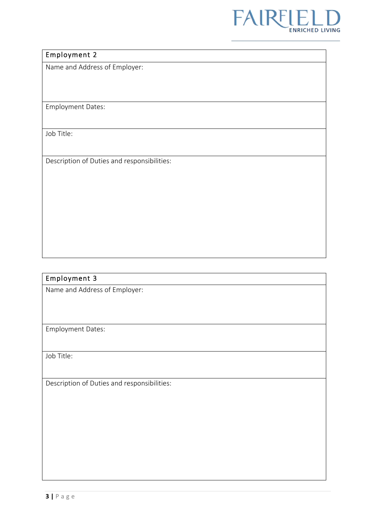

## Employment 2

Name and Address of Employer:

Employment Dates:

Job Title:

Description of Duties and responsibilities:

### Employment 3

Name and Address of Employer:

Employment Dates:

Job Title:

Description of Duties and responsibilities: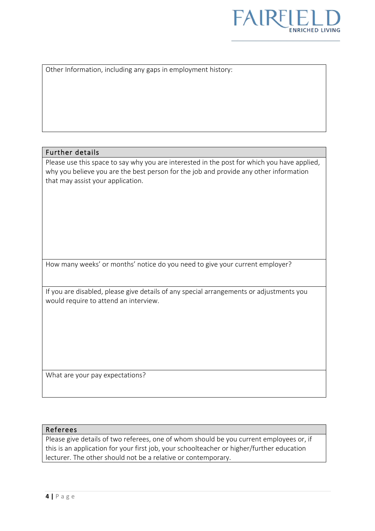

Other Information, including any gaps in employment history:

#### Further details

Please use this space to say why you are interested in the post for which you have applied, why you believe you are the best person for the job and provide any other information that may assist your application.

How many weeks' or months' notice do you need to give your current employer?

If you are disabled, please give details of any special arrangements or adjustments you would require to attend an interview.

What are your pay expectations?

#### Referees

Please give details of two referees, one of whom should be you current employees or, if this is an application for your first job, your schoolteacher or higher/further education lecturer. The other should not be a relative or contemporary.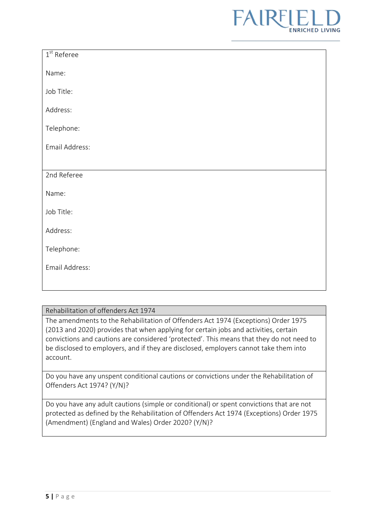

| $1st$ Referee  |
|----------------|
| Name:          |
| Job Title:     |
| Address:       |
| Telephone:     |
| Email Address: |
|                |
| 2nd Referee    |
| Name:          |
| Job Title:     |
| Address:       |
| Telephone:     |
| Email Address: |
|                |

#### Rehabilitation of offenders Act 1974

The amendments to the Rehabilitation of Offenders Act 1974 (Exceptions) Order 1975 (2013 and 2020) provides that when applying for certain jobs and activities, certain convictions and cautions are considered 'protected'. This means that they do not need to be disclosed to employers, and if they are disclosed, employers cannot take them into account.

Do you have any unspent conditional cautions or convictions under the Rehabilitation of Offenders Act 1974? (Y/N)?

Do you have any adult cautions (simple or conditional) or spent convictions that are not protected as defined by the Rehabilitation of Offenders Act 1974 (Exceptions) Order 1975 (Amendment) (England and Wales) Order 2020? (Y/N)?